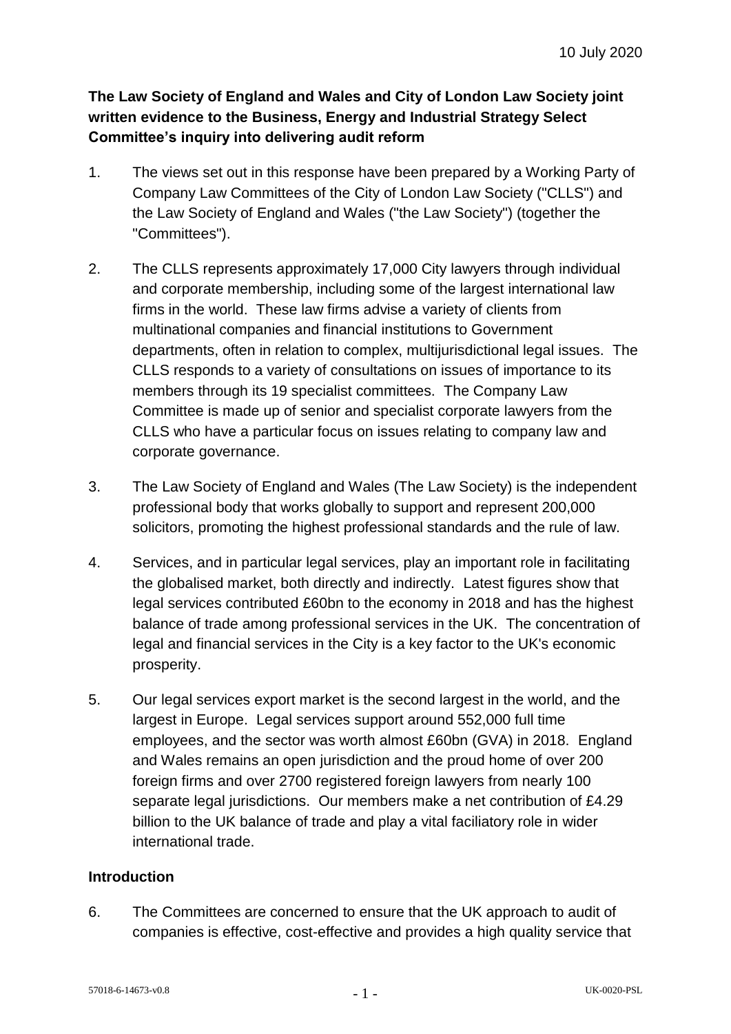**The Law Society of England and Wales and City of London Law Society joint written evidence to the Business, Energy and Industrial Strategy Select Committee's inquiry into delivering audit reform** 

- 1. The views set out in this response have been prepared by a Working Party of Company Law Committees of the City of London Law Society ("CLLS") and the Law Society of England and Wales ("the Law Society") (together the "Committees").
- 2. The CLLS represents approximately 17,000 City lawyers through individual and corporate membership, including some of the largest international law firms in the world. These law firms advise a variety of clients from multinational companies and financial institutions to Government departments, often in relation to complex, multijurisdictional legal issues. The CLLS responds to a variety of consultations on issues of importance to its members through its 19 specialist committees. The Company Law Committee is made up of senior and specialist corporate lawyers from the CLLS who have a particular focus on issues relating to company law and corporate governance.
- 3. The Law Society of England and Wales (The Law Society) is the independent professional body that works globally to support and represent 200,000 solicitors, promoting the highest professional standards and the rule of law.
- 4. Services, and in particular legal services, play an important role in facilitating the globalised market, both directly and indirectly. Latest figures show that legal services contributed £60bn to the economy in 2018 and has the highest balance of trade among professional services in the UK. The concentration of legal and financial services in the City is a key factor to the UK's economic prosperity.
- 5. Our legal services export market is the second largest in the world, and the largest in Europe. Legal services support around 552,000 full time employees, and the sector was worth almost £60bn (GVA) in 2018. England and Wales remains an open jurisdiction and the proud home of over 200 foreign firms and over 2700 registered foreign lawyers from nearly 100 separate legal jurisdictions. Our members make a net contribution of £4.29 billion to the UK balance of trade and play a vital faciliatory role in wider international trade.

## **Introduction**

6. The Committees are concerned to ensure that the UK approach to audit of companies is effective, cost-effective and provides a high quality service that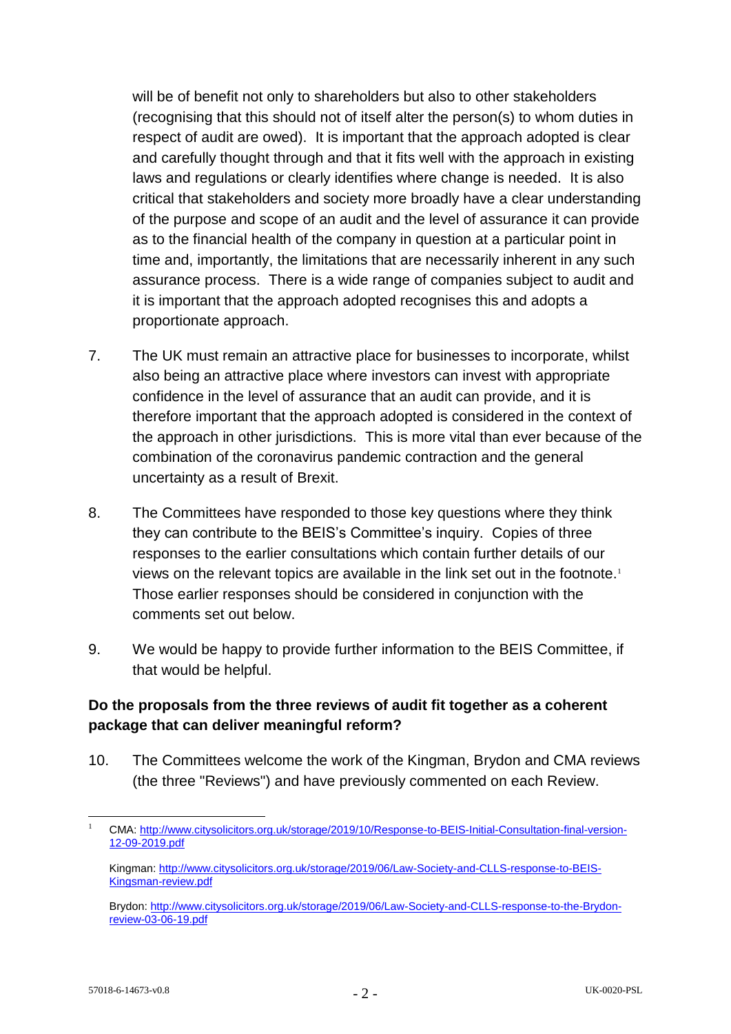will be of benefit not only to shareholders but also to other stakeholders (recognising that this should not of itself alter the person(s) to whom duties in respect of audit are owed). It is important that the approach adopted is clear and carefully thought through and that it fits well with the approach in existing laws and regulations or clearly identifies where change is needed. It is also critical that stakeholders and society more broadly have a clear understanding of the purpose and scope of an audit and the level of assurance it can provide as to the financial health of the company in question at a particular point in time and, importantly, the limitations that are necessarily inherent in any such assurance process. There is a wide range of companies subject to audit and it is important that the approach adopted recognises this and adopts a proportionate approach.

- 7. The UK must remain an attractive place for businesses to incorporate, whilst also being an attractive place where investors can invest with appropriate confidence in the level of assurance that an audit can provide, and it is therefore important that the approach adopted is considered in the context of the approach in other jurisdictions. This is more vital than ever because of the combination of the coronavirus pandemic contraction and the general uncertainty as a result of Brexit.
- 8. The Committees have responded to those key questions where they think they can contribute to the BEIS's Committee's inquiry. Copies of three responses to the earlier consultations which contain further details of our views on the relevant topics are available in the link set out in the footnote.<sup>1</sup> Those earlier responses should be considered in conjunction with the comments set out below.
- 9. We would be happy to provide further information to the BEIS Committee, if that would be helpful.

## **Do the proposals from the three reviews of audit fit together as a coherent package that can deliver meaningful reform?**

10. The Committees welcome the work of the Kingman, Brydon and CMA reviews (the three "Reviews") and have previously commented on each Review.

<sup>1</sup> <sup>1</sup> CMA: [http://www.citysolicitors.org.uk/storage/2019/10/Response-to-BEIS-Initial-Consultation-final-version-](http://www.citysolicitors.org.uk/storage/2019/10/Response-to-BEIS-Initial-Consultation-final-version-12-09-2019.pdf)[12-09-2019.pdf](http://www.citysolicitors.org.uk/storage/2019/10/Response-to-BEIS-Initial-Consultation-final-version-12-09-2019.pdf)

Kingman[: http://www.citysolicitors.org.uk/storage/2019/06/Law-Society-and-CLLS-response-to-BEIS-](http://www.citysolicitors.org.uk/storage/2019/06/Law-Society-and-CLLS-response-to-BEIS-Kingsman-review.pdf)[Kingsman-review.pdf](http://www.citysolicitors.org.uk/storage/2019/06/Law-Society-and-CLLS-response-to-BEIS-Kingsman-review.pdf)

Brydon[: http://www.citysolicitors.org.uk/storage/2019/06/Law-Society-and-CLLS-response-to-the-Brydon](http://www.citysolicitors.org.uk/storage/2019/06/Law-Society-and-CLLS-response-to-the-Brydon-review-03-06-19.pdf)[review-03-06-19.pdf](http://www.citysolicitors.org.uk/storage/2019/06/Law-Society-and-CLLS-response-to-the-Brydon-review-03-06-19.pdf)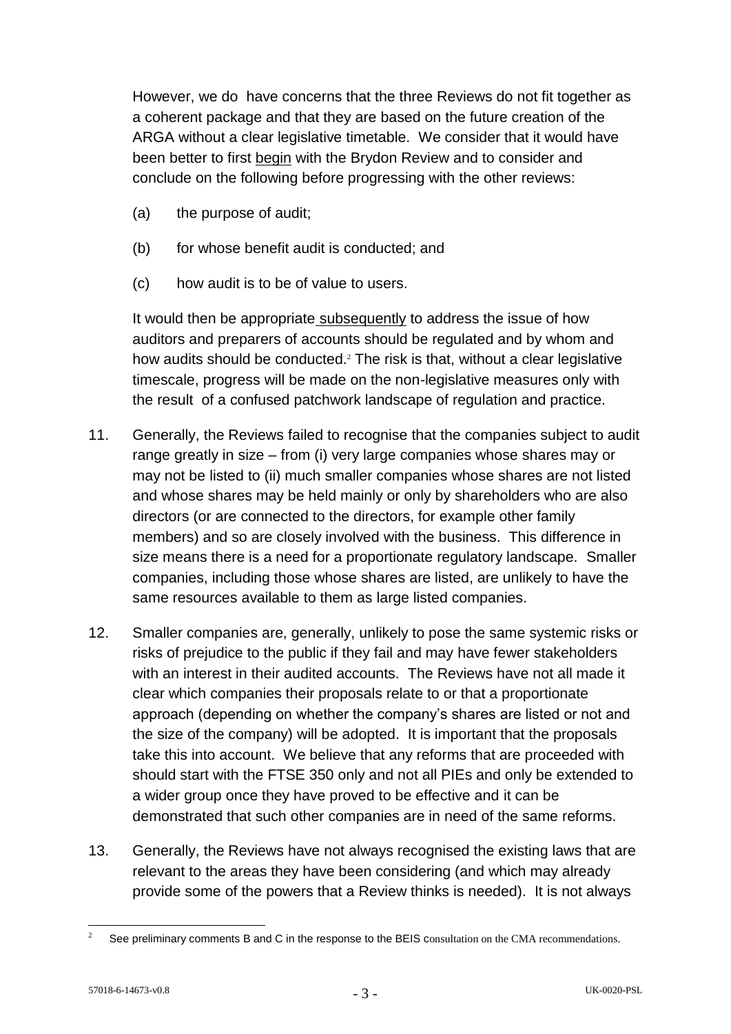However, we do have concerns that the three Reviews do not fit together as a coherent package and that they are based on the future creation of the ARGA without a clear legislative timetable. We consider that it would have been better to first begin with the Brydon Review and to consider and conclude on the following before progressing with the other reviews:

- (a) the purpose of audit;
- (b) for whose benefit audit is conducted; and
- (c) how audit is to be of value to users.

It would then be appropriate subsequently to address the issue of how auditors and preparers of accounts should be regulated and by whom and how audits should be conducted.<sup>2</sup> The risk is that, without a clear legislative timescale, progress will be made on the non-legislative measures only with the result of a confused patchwork landscape of regulation and practice.

- 11. Generally, the Reviews failed to recognise that the companies subject to audit range greatly in size – from (i) very large companies whose shares may or may not be listed to (ii) much smaller companies whose shares are not listed and whose shares may be held mainly or only by shareholders who are also directors (or are connected to the directors, for example other family members) and so are closely involved with the business. This difference in size means there is a need for a proportionate regulatory landscape. Smaller companies, including those whose shares are listed, are unlikely to have the same resources available to them as large listed companies.
- 12. Smaller companies are, generally, unlikely to pose the same systemic risks or risks of prejudice to the public if they fail and may have fewer stakeholders with an interest in their audited accounts. The Reviews have not all made it clear which companies their proposals relate to or that a proportionate approach (depending on whether the company's shares are listed or not and the size of the company) will be adopted. It is important that the proposals take this into account. We believe that any reforms that are proceeded with should start with the FTSE 350 only and not all PIEs and only be extended to a wider group once they have proved to be effective and it can be demonstrated that such other companies are in need of the same reforms.
- 13. Generally, the Reviews have not always recognised the existing laws that are relevant to the areas they have been considering (and which may already provide some of the powers that a Review thinks is needed). It is not always

<sup>1</sup> See preliminary comments B and C in the response to the BEIS consultation on the CMA recommendations.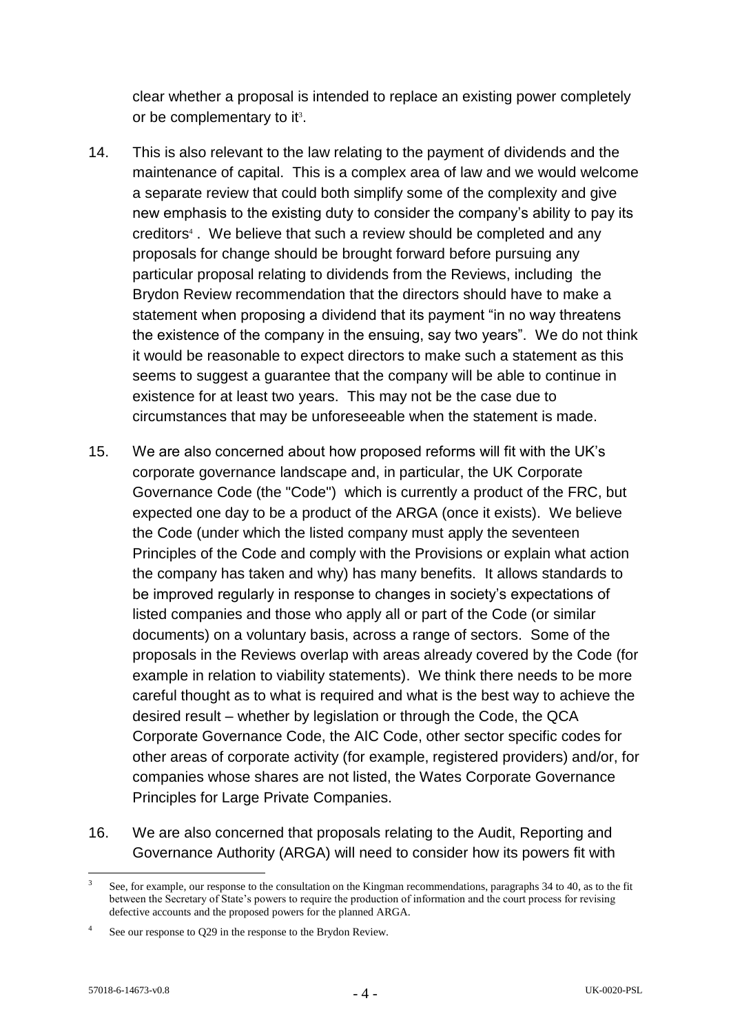clear whether a proposal is intended to replace an existing power completely or be complementary to it $3$ .

- 14. This is also relevant to the law relating to the payment of dividends and the maintenance of capital. This is a complex area of law and we would welcome a separate review that could both simplify some of the complexity and give new emphasis to the existing duty to consider the company's ability to pay its creditors<sup>4</sup>. We believe that such a review should be completed and any proposals for change should be brought forward before pursuing any particular proposal relating to dividends from the Reviews, including the Brydon Review recommendation that the directors should have to make a statement when proposing a dividend that its payment "in no way threatens the existence of the company in the ensuing, say two years". We do not think it would be reasonable to expect directors to make such a statement as this seems to suggest a guarantee that the company will be able to continue in existence for at least two years. This may not be the case due to circumstances that may be unforeseeable when the statement is made.
- 15. We are also concerned about how proposed reforms will fit with the UK's corporate governance landscape and, in particular, the UK Corporate Governance Code (the "Code") which is currently a product of the FRC, but expected one day to be a product of the ARGA (once it exists). We believe the Code (under which the listed company must apply the seventeen Principles of the Code and comply with the Provisions or explain what action the company has taken and why) has many benefits. It allows standards to be improved regularly in response to changes in society's expectations of listed companies and those who apply all or part of the Code (or similar documents) on a voluntary basis, across a range of sectors. Some of the proposals in the Reviews overlap with areas already covered by the Code (for example in relation to viability statements). We think there needs to be more careful thought as to what is required and what is the best way to achieve the desired result – whether by legislation or through the Code, the QCA Corporate Governance Code, the AIC Code, other sector specific codes for other areas of corporate activity (for example, registered providers) and/or, for companies whose shares are not listed, the Wates Corporate Governance Principles for Large Private Companies.
- 16. We are also concerned that proposals relating to the Audit, Reporting and Governance Authority (ARGA) will need to consider how its powers fit with

<u>.</u>

<sup>3</sup> See, for example, our response to the consultation on the Kingman recommendations, paragraphs 34 to 40, as to the fit between the Secretary of State's powers to require the production of information and the court process for revising defective accounts and the proposed powers for the planned ARGA.

<sup>4</sup> See our response to Q29 in the response to the Brydon Review.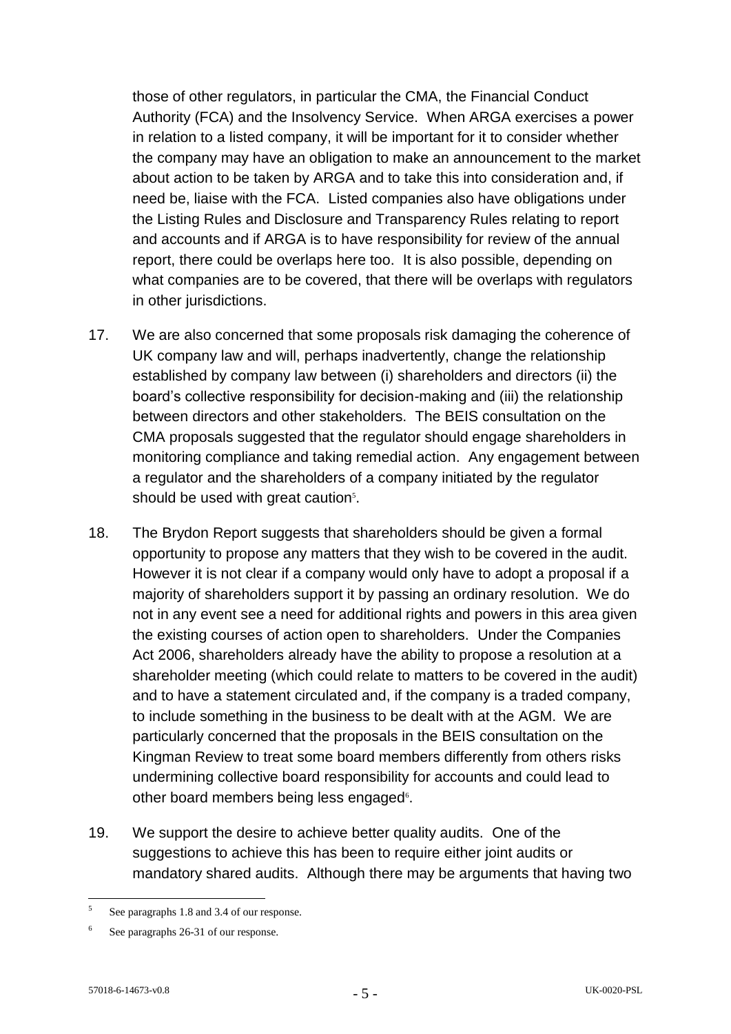those of other regulators, in particular the CMA, the Financial Conduct Authority (FCA) and the Insolvency Service. When ARGA exercises a power in relation to a listed company, it will be important for it to consider whether the company may have an obligation to make an announcement to the market about action to be taken by ARGA and to take this into consideration and, if need be, liaise with the FCA. Listed companies also have obligations under the Listing Rules and Disclosure and Transparency Rules relating to report and accounts and if ARGA is to have responsibility for review of the annual report, there could be overlaps here too. It is also possible, depending on what companies are to be covered, that there will be overlaps with regulators in other jurisdictions.

- 17. We are also concerned that some proposals risk damaging the coherence of UK company law and will, perhaps inadvertently, change the relationship established by company law between (i) shareholders and directors (ii) the board's collective responsibility for decision-making and (iii) the relationship between directors and other stakeholders. The BEIS consultation on the CMA proposals suggested that the regulator should engage shareholders in monitoring compliance and taking remedial action. Any engagement between a regulator and the shareholders of a company initiated by the regulator should be used with great caution $5$ .
- 18. The Brydon Report suggests that shareholders should be given a formal opportunity to propose any matters that they wish to be covered in the audit. However it is not clear if a company would only have to adopt a proposal if a majority of shareholders support it by passing an ordinary resolution. We do not in any event see a need for additional rights and powers in this area given the existing courses of action open to shareholders. Under the Companies Act 2006, shareholders already have the ability to propose a resolution at a shareholder meeting (which could relate to matters to be covered in the audit) and to have a statement circulated and, if the company is a traded company, to include something in the business to be dealt with at the AGM. We are particularly concerned that the proposals in the BEIS consultation on the Kingman Review to treat some board members differently from others risks undermining collective board responsibility for accounts and could lead to other board members being less engaged<sup>6</sup>.
- 19. We support the desire to achieve better quality audits. One of the suggestions to achieve this has been to require either joint audits or mandatory shared audits. Although there may be arguments that having two

 $\frac{1}{5}$ See paragraphs 1.8 and 3.4 of our response.

<sup>6</sup> See paragraphs 26-31 of our response.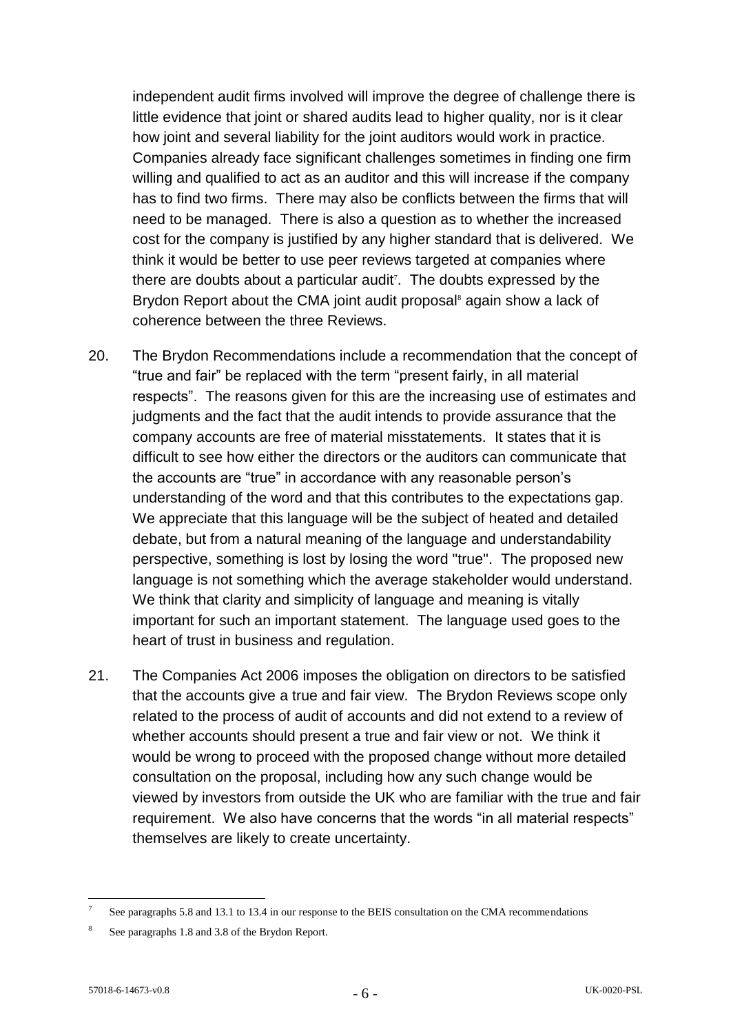independent audit firms involved will improve the degree of challenge there is little evidence that joint or shared audits lead to higher quality, nor is it clear how joint and several liability for the joint auditors would work in practice. Companies already face significant challenges sometimes in finding one firm willing and qualified to act as an auditor and this will increase if the company has to find two firms. There may also be conflicts between the firms that will need to be managed. There is also a question as to whether the increased cost for the company is justified by any higher standard that is delivered. We think it would be better to use peer reviews targeted at companies where there are doubts about a particular audit<sup>7</sup>. The doubts expressed by the Brydon Report about the CMA joint audit proposal<sup>8</sup> again show a lack of coherence between the three Reviews.

- 20. The Brydon Recommendations include a recommendation that the concept of "true and fair" be replaced with the term "present fairly, in all material respects". The reasons given for this are the increasing use of estimates and judgments and the fact that the audit intends to provide assurance that the company accounts are free of material misstatements. It states that it is difficult to see how either the directors or the auditors can communicate that the accounts are "true" in accordance with any reasonable person's understanding of the word and that this contributes to the expectations gap. We appreciate that this language will be the subject of heated and detailed debate, but from a natural meaning of the language and understandability perspective, something is lost by losing the word "true". The proposed new language is not something which the average stakeholder would understand. We think that clarity and simplicity of language and meaning is vitally important for such an important statement. The language used goes to the heart of trust in business and regulation.
- 21. The Companies Act 2006 imposes the obligation on directors to be satisfied that the accounts give a true and fair view. The Brydon Reviews scope only related to the process of audit of accounts and did not extend to a review of whether accounts should present a true and fair view or not. We think it would be wrong to proceed with the proposed change without more detailed consultation on the proposal, including how any such change would be viewed by investors from outside the UK who are familiar with the true and fair requirement. We also have concerns that the words "in all material respects" themselves are likely to create uncertainty.

<u>.</u>

<sup>7</sup> See paragraphs 5.8 and 13.1 to 13.4 in our response to the BEIS consultation on the CMA recommendations

<sup>8</sup> See paragraphs 1.8 and 3.8 of the Brydon Report.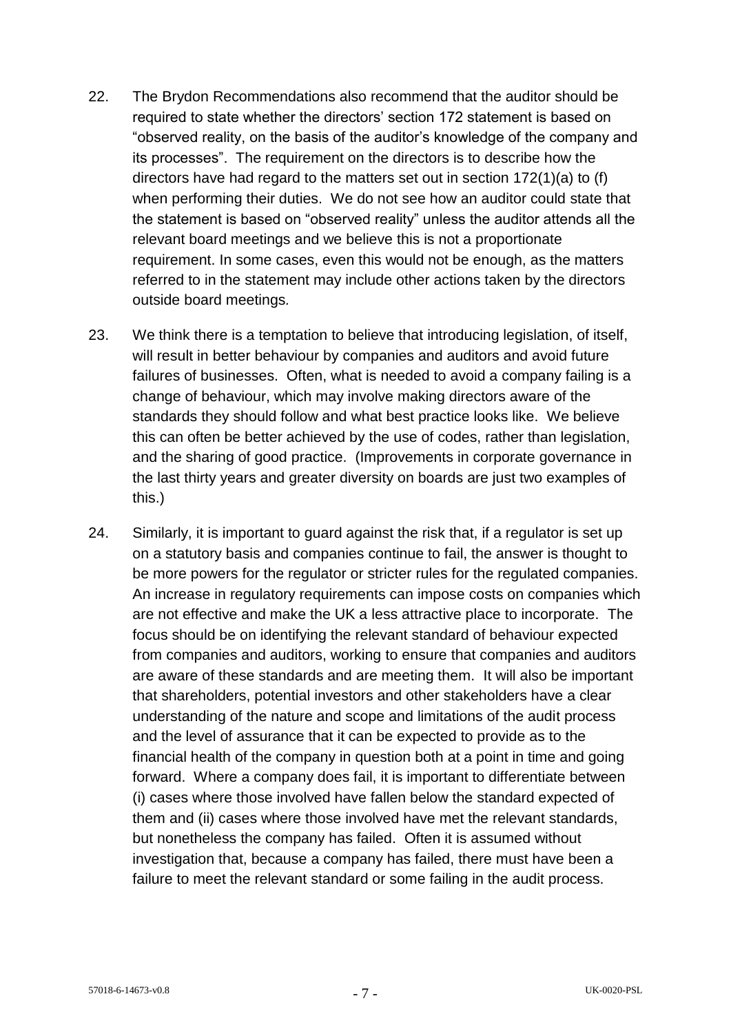- 22. The Brydon Recommendations also recommend that the auditor should be required to state whether the directors' section 172 statement is based on "observed reality, on the basis of the auditor's knowledge of the company and its processes". The requirement on the directors is to describe how the directors have had regard to the matters set out in section 172(1)(a) to (f) when performing their duties. We do not see how an auditor could state that the statement is based on "observed reality" unless the auditor attends all the relevant board meetings and we believe this is not a proportionate requirement. In some cases, even this would not be enough, as the matters referred to in the statement may include other actions taken by the directors outside board meetings*.*
- 23. We think there is a temptation to believe that introducing legislation, of itself, will result in better behaviour by companies and auditors and avoid future failures of businesses. Often, what is needed to avoid a company failing is a change of behaviour, which may involve making directors aware of the standards they should follow and what best practice looks like. We believe this can often be better achieved by the use of codes, rather than legislation, and the sharing of good practice. (Improvements in corporate governance in the last thirty years and greater diversity on boards are just two examples of this.)
- 24. Similarly, it is important to guard against the risk that, if a regulator is set up on a statutory basis and companies continue to fail, the answer is thought to be more powers for the regulator or stricter rules for the regulated companies. An increase in regulatory requirements can impose costs on companies which are not effective and make the UK a less attractive place to incorporate. The focus should be on identifying the relevant standard of behaviour expected from companies and auditors, working to ensure that companies and auditors are aware of these standards and are meeting them. It will also be important that shareholders, potential investors and other stakeholders have a clear understanding of the nature and scope and limitations of the audit process and the level of assurance that it can be expected to provide as to the financial health of the company in question both at a point in time and going forward. Where a company does fail, it is important to differentiate between (i) cases where those involved have fallen below the standard expected of them and (ii) cases where those involved have met the relevant standards, but nonetheless the company has failed. Often it is assumed without investigation that, because a company has failed, there must have been a failure to meet the relevant standard or some failing in the audit process.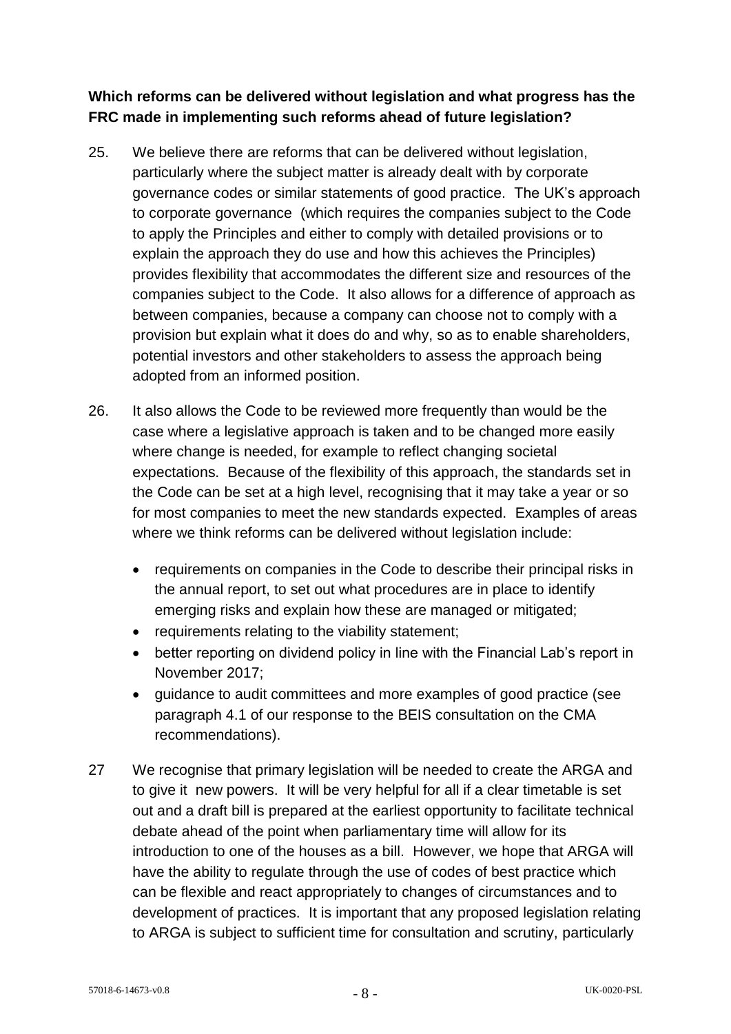## **Which reforms can be delivered without legislation and what progress has the FRC made in implementing such reforms ahead of future legislation?**

- 25. We believe there are reforms that can be delivered without legislation, particularly where the subject matter is already dealt with by corporate governance codes or similar statements of good practice. The UK's approach to corporate governance (which requires the companies subject to the Code to apply the Principles and either to comply with detailed provisions or to explain the approach they do use and how this achieves the Principles) provides flexibility that accommodates the different size and resources of the companies subject to the Code. It also allows for a difference of approach as between companies, because a company can choose not to comply with a provision but explain what it does do and why, so as to enable shareholders, potential investors and other stakeholders to assess the approach being adopted from an informed position.
- 26. It also allows the Code to be reviewed more frequently than would be the case where a legislative approach is taken and to be changed more easily where change is needed, for example to reflect changing societal expectations. Because of the flexibility of this approach, the standards set in the Code can be set at a high level, recognising that it may take a year or so for most companies to meet the new standards expected. Examples of areas where we think reforms can be delivered without legislation include:
	- requirements on companies in the Code to describe their principal risks in the annual report, to set out what procedures are in place to identify emerging risks and explain how these are managed or mitigated;
	- requirements relating to the viability statement;
	- better reporting on dividend policy in line with the Financial Lab's report in November 2017;
	- guidance to audit committees and more examples of good practice (see paragraph 4.1 of our response to the BEIS consultation on the CMA recommendations).
- 27 We recognise that primary legislation will be needed to create the ARGA and to give it new powers. It will be very helpful for all if a clear timetable is set out and a draft bill is prepared at the earliest opportunity to facilitate technical debate ahead of the point when parliamentary time will allow for its introduction to one of the houses as a bill. However, we hope that ARGA will have the ability to regulate through the use of codes of best practice which can be flexible and react appropriately to changes of circumstances and to development of practices. It is important that any proposed legislation relating to ARGA is subject to sufficient time for consultation and scrutiny, particularly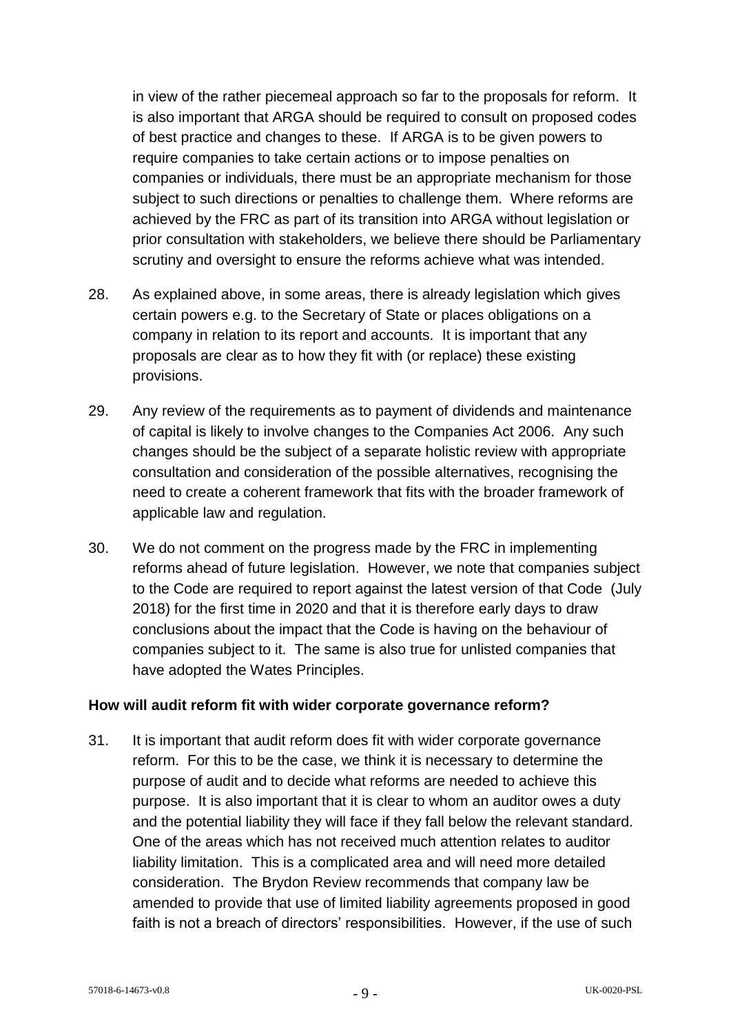in view of the rather piecemeal approach so far to the proposals for reform. It is also important that ARGA should be required to consult on proposed codes of best practice and changes to these. If ARGA is to be given powers to require companies to take certain actions or to impose penalties on companies or individuals, there must be an appropriate mechanism for those subject to such directions or penalties to challenge them. Where reforms are achieved by the FRC as part of its transition into ARGA without legislation or prior consultation with stakeholders, we believe there should be Parliamentary scrutiny and oversight to ensure the reforms achieve what was intended.

- 28. As explained above, in some areas, there is already legislation which gives certain powers e.g. to the Secretary of State or places obligations on a company in relation to its report and accounts. It is important that any proposals are clear as to how they fit with (or replace) these existing provisions.
- 29. Any review of the requirements as to payment of dividends and maintenance of capital is likely to involve changes to the Companies Act 2006. Any such changes should be the subject of a separate holistic review with appropriate consultation and consideration of the possible alternatives, recognising the need to create a coherent framework that fits with the broader framework of applicable law and regulation.
- 30. We do not comment on the progress made by the FRC in implementing reforms ahead of future legislation. However, we note that companies subject to the Code are required to report against the latest version of that Code (July 2018) for the first time in 2020 and that it is therefore early days to draw conclusions about the impact that the Code is having on the behaviour of companies subject to it. The same is also true for unlisted companies that have adopted the Wates Principles.

## **How will audit reform fit with wider corporate governance reform?**

31. It is important that audit reform does fit with wider corporate governance reform. For this to be the case, we think it is necessary to determine the purpose of audit and to decide what reforms are needed to achieve this purpose. It is also important that it is clear to whom an auditor owes a duty and the potential liability they will face if they fall below the relevant standard. One of the areas which has not received much attention relates to auditor liability limitation. This is a complicated area and will need more detailed consideration. The Brydon Review recommends that company law be amended to provide that use of limited liability agreements proposed in good faith is not a breach of directors' responsibilities. However, if the use of such